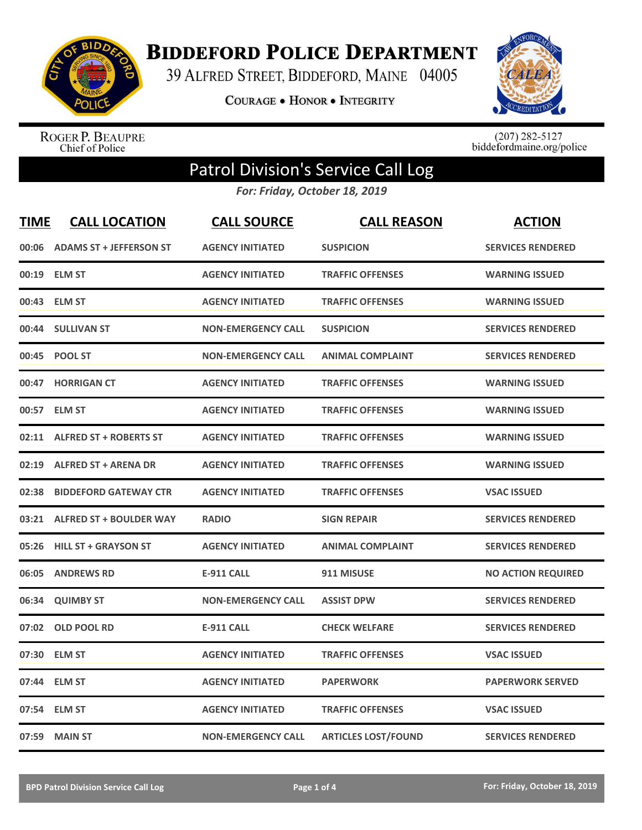

**BIDDEFORD POLICE DEPARTMENT** 

39 ALFRED STREET, BIDDEFORD, MAINE 04005

COURAGE . HONOR . INTEGRITY



ROGER P. BEAUPRE<br>Chief of Police

 $(207)$  282-5127<br>biddefordmaine.org/police

## Patrol Division's Service Call Log

*For: Friday, October 18, 2019*

| <b>TIME</b> | <b>CALL LOCATION</b>           | <b>CALL SOURCE</b>        | <b>CALL REASON</b>         | <b>ACTION</b>             |
|-------------|--------------------------------|---------------------------|----------------------------|---------------------------|
| 00:06       | <b>ADAMS ST + JEFFERSON ST</b> | <b>AGENCY INITIATED</b>   | <b>SUSPICION</b>           | <b>SERVICES RENDERED</b>  |
| 00:19       | <b>ELM ST</b>                  | <b>AGENCY INITIATED</b>   | <b>TRAFFIC OFFENSES</b>    | <b>WARNING ISSUED</b>     |
| 00:43       | <b>ELM ST</b>                  | <b>AGENCY INITIATED</b>   | <b>TRAFFIC OFFENSES</b>    | <b>WARNING ISSUED</b>     |
| 00:44       | <b>SULLIVAN ST</b>             | <b>NON-EMERGENCY CALL</b> | <b>SUSPICION</b>           | <b>SERVICES RENDERED</b>  |
| 00:45       | <b>POOL ST</b>                 | <b>NON-EMERGENCY CALL</b> | <b>ANIMAL COMPLAINT</b>    | <b>SERVICES RENDERED</b>  |
| 00:47       | <b>HORRIGAN CT</b>             | <b>AGENCY INITIATED</b>   | <b>TRAFFIC OFFENSES</b>    | <b>WARNING ISSUED</b>     |
|             | 00:57 ELM ST                   | <b>AGENCY INITIATED</b>   | <b>TRAFFIC OFFENSES</b>    | <b>WARNING ISSUED</b>     |
| 02:11       | <b>ALFRED ST + ROBERTS ST</b>  | <b>AGENCY INITIATED</b>   | <b>TRAFFIC OFFENSES</b>    | <b>WARNING ISSUED</b>     |
| 02:19       | <b>ALFRED ST + ARENA DR</b>    | <b>AGENCY INITIATED</b>   | <b>TRAFFIC OFFENSES</b>    | <b>WARNING ISSUED</b>     |
| 02:38       | <b>BIDDEFORD GATEWAY CTR</b>   | <b>AGENCY INITIATED</b>   | <b>TRAFFIC OFFENSES</b>    | <b>VSAC ISSUED</b>        |
| 03:21       | <b>ALFRED ST + BOULDER WAY</b> | <b>RADIO</b>              | <b>SIGN REPAIR</b>         | <b>SERVICES RENDERED</b>  |
| 05:26       | <b>HILL ST + GRAYSON ST</b>    | <b>AGENCY INITIATED</b>   | <b>ANIMAL COMPLAINT</b>    | <b>SERVICES RENDERED</b>  |
| 06:05       | <b>ANDREWS RD</b>              | <b>E-911 CALL</b>         | 911 MISUSE                 | <b>NO ACTION REQUIRED</b> |
| 06:34       | <b>QUIMBY ST</b>               | <b>NON-EMERGENCY CALL</b> | <b>ASSIST DPW</b>          | <b>SERVICES RENDERED</b>  |
| 07:02       | <b>OLD POOL RD</b>             | <b>E-911 CALL</b>         | <b>CHECK WELFARE</b>       | <b>SERVICES RENDERED</b>  |
| 07:30       | <b>ELM ST</b>                  | <b>AGENCY INITIATED</b>   | <b>TRAFFIC OFFENSES</b>    | <b>VSAC ISSUED</b>        |
| 07:44       | <b>ELM ST</b>                  | <b>AGENCY INITIATED</b>   | <b>PAPERWORK</b>           | <b>PAPERWORK SERVED</b>   |
| 07:54       | <b>ELM ST</b>                  | <b>AGENCY INITIATED</b>   | <b>TRAFFIC OFFENSES</b>    | <b>VSAC ISSUED</b>        |
| 07:59       | <b>MAIN ST</b>                 | <b>NON-EMERGENCY CALL</b> | <b>ARTICLES LOST/FOUND</b> | <b>SERVICES RENDERED</b>  |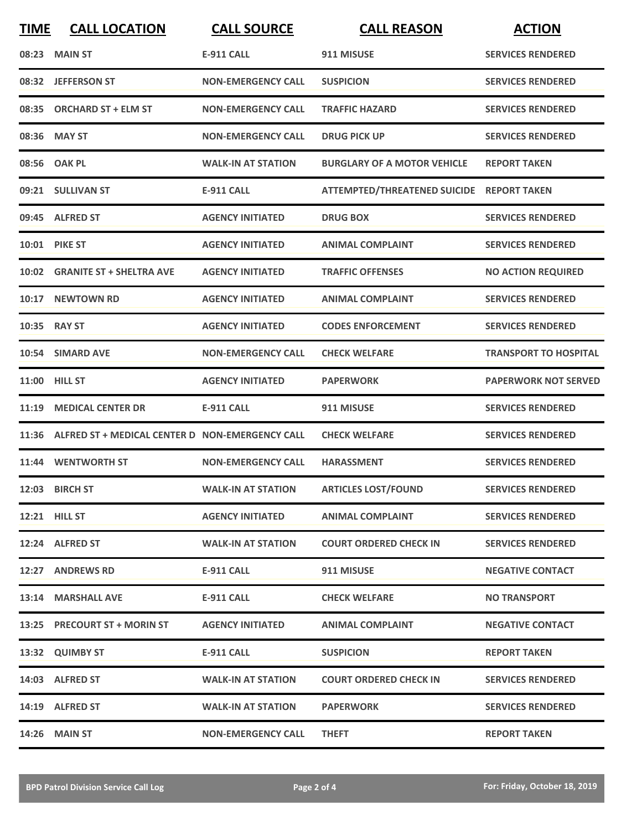| <b>TIME</b> | <b>CALL LOCATION</b>                                  | <b>CALL SOURCE</b>        | <b>CALL REASON</b>                        | <b>ACTION</b>                |
|-------------|-------------------------------------------------------|---------------------------|-------------------------------------------|------------------------------|
|             | 08:23 MAIN ST                                         | <b>E-911 CALL</b>         | 911 MISUSE                                | <b>SERVICES RENDERED</b>     |
|             | 08:32 JEFFERSON ST                                    | <b>NON-EMERGENCY CALL</b> | <b>SUSPICION</b>                          | <b>SERVICES RENDERED</b>     |
| 08:35       | <b>ORCHARD ST + ELM ST</b>                            | <b>NON-EMERGENCY CALL</b> | <b>TRAFFIC HAZARD</b>                     | <b>SERVICES RENDERED</b>     |
|             | 08:36 MAY ST                                          | <b>NON-EMERGENCY CALL</b> | <b>DRUG PICK UP</b>                       | <b>SERVICES RENDERED</b>     |
|             | 08:56 OAK PL                                          | <b>WALK-IN AT STATION</b> | <b>BURGLARY OF A MOTOR VEHICLE</b>        | <b>REPORT TAKEN</b>          |
|             | 09:21 SULLIVAN ST                                     | <b>E-911 CALL</b>         | ATTEMPTED/THREATENED SUICIDE REPORT TAKEN |                              |
|             | 09:45 ALFRED ST                                       | <b>AGENCY INITIATED</b>   | <b>DRUG BOX</b>                           | <b>SERVICES RENDERED</b>     |
|             | 10:01 PIKE ST                                         | <b>AGENCY INITIATED</b>   | <b>ANIMAL COMPLAINT</b>                   | <b>SERVICES RENDERED</b>     |
| 10:02       | <b>GRANITE ST + SHELTRA AVE</b>                       | <b>AGENCY INITIATED</b>   | <b>TRAFFIC OFFENSES</b>                   | <b>NO ACTION REQUIRED</b>    |
|             | 10:17 NEWTOWN RD                                      | <b>AGENCY INITIATED</b>   | <b>ANIMAL COMPLAINT</b>                   | <b>SERVICES RENDERED</b>     |
|             | 10:35 RAY ST                                          | <b>AGENCY INITIATED</b>   | <b>CODES ENFORCEMENT</b>                  | <b>SERVICES RENDERED</b>     |
|             | 10:54 SIMARD AVE                                      | <b>NON-EMERGENCY CALL</b> | <b>CHECK WELFARE</b>                      | <b>TRANSPORT TO HOSPITAL</b> |
|             | 11:00 HILL ST                                         | <b>AGENCY INITIATED</b>   | <b>PAPERWORK</b>                          | <b>PAPERWORK NOT SERVED</b>  |
| 11:19       | <b>MEDICAL CENTER DR</b>                              | <b>E-911 CALL</b>         | 911 MISUSE                                | <b>SERVICES RENDERED</b>     |
|             | 11:36 ALFRED ST + MEDICAL CENTER D NON-EMERGENCY CALL |                           | <b>CHECK WELFARE</b>                      | <b>SERVICES RENDERED</b>     |
|             | 11:44 WENTWORTH ST                                    | <b>NON-EMERGENCY CALL</b> | <b>HARASSMENT</b>                         | <b>SERVICES RENDERED</b>     |
|             | 12:03 BIRCH ST                                        | <b>WALK-IN AT STATION</b> | <b>ARTICLES LOST/FOUND</b>                | <b>SERVICES RENDERED</b>     |
|             | 12:21 HILL ST                                         | <b>AGENCY INITIATED</b>   | <b>ANIMAL COMPLAINT</b>                   | <b>SERVICES RENDERED</b>     |
|             | 12:24 ALFRED ST                                       | <b>WALK-IN AT STATION</b> | <b>COURT ORDERED CHECK IN</b>             | <b>SERVICES RENDERED</b>     |
|             | 12:27 ANDREWS RD                                      | <b>E-911 CALL</b>         | 911 MISUSE                                | <b>NEGATIVE CONTACT</b>      |
|             | 13:14 MARSHALL AVE                                    | <b>E-911 CALL</b>         | <b>CHECK WELFARE</b>                      | <b>NO TRANSPORT</b>          |
|             | 13:25 PRECOURT ST + MORIN ST                          | <b>AGENCY INITIATED</b>   | <b>ANIMAL COMPLAINT</b>                   | <b>NEGATIVE CONTACT</b>      |
|             | 13:32 QUIMBY ST                                       | <b>E-911 CALL</b>         | <b>SUSPICION</b>                          | <b>REPORT TAKEN</b>          |
|             | 14:03 ALFRED ST                                       | <b>WALK-IN AT STATION</b> | <b>COURT ORDERED CHECK IN</b>             | <b>SERVICES RENDERED</b>     |
|             | 14:19 ALFRED ST                                       | <b>WALK-IN AT STATION</b> | <b>PAPERWORK</b>                          | <b>SERVICES RENDERED</b>     |
|             | <b>14:26 MAIN ST</b>                                  | <b>NON-EMERGENCY CALL</b> | <b>THEFT</b>                              | <b>REPORT TAKEN</b>          |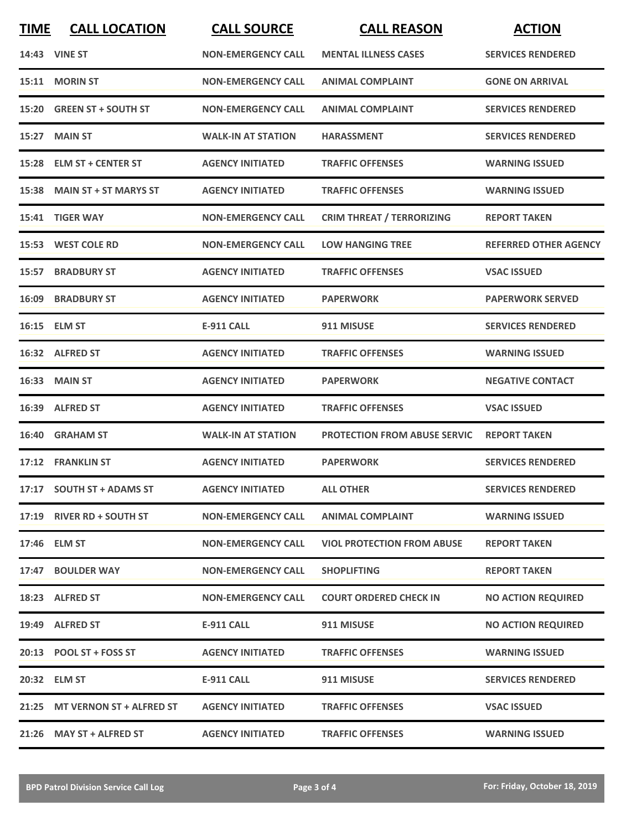| <b>TIME</b> | <b>CALL LOCATION</b>           | <b>CALL SOURCE</b>        | <b>CALL REASON</b>                  | <b>ACTION</b>                |
|-------------|--------------------------------|---------------------------|-------------------------------------|------------------------------|
|             | 14:43 VINE ST                  | <b>NON-EMERGENCY CALL</b> | <b>MENTAL ILLNESS CASES</b>         | <b>SERVICES RENDERED</b>     |
| 15:11       | <b>MORIN ST</b>                | <b>NON-EMERGENCY CALL</b> | <b>ANIMAL COMPLAINT</b>             | <b>GONE ON ARRIVAL</b>       |
|             | 15:20 GREEN ST + SOUTH ST      | <b>NON-EMERGENCY CALL</b> | <b>ANIMAL COMPLAINT</b>             | <b>SERVICES RENDERED</b>     |
|             | 15:27 MAIN ST                  | <b>WALK-IN AT STATION</b> | <b>HARASSMENT</b>                   | <b>SERVICES RENDERED</b>     |
|             | 15:28 ELM ST + CENTER ST       | <b>AGENCY INITIATED</b>   | <b>TRAFFIC OFFENSES</b>             | <b>WARNING ISSUED</b>        |
|             | 15:38 MAIN ST + ST MARYS ST    | <b>AGENCY INITIATED</b>   | <b>TRAFFIC OFFENSES</b>             | <b>WARNING ISSUED</b>        |
|             | 15:41 TIGER WAY                | <b>NON-EMERGENCY CALL</b> | <b>CRIM THREAT / TERRORIZING</b>    | <b>REPORT TAKEN</b>          |
|             | 15:53 WEST COLE RD             | <b>NON-EMERGENCY CALL</b> | <b>LOW HANGING TREE</b>             | <b>REFERRED OTHER AGENCY</b> |
|             | <b>15:57 BRADBURY ST</b>       | <b>AGENCY INITIATED</b>   | <b>TRAFFIC OFFENSES</b>             | <b>VSAC ISSUED</b>           |
|             | <b>16:09 BRADBURY ST</b>       | <b>AGENCY INITIATED</b>   | <b>PAPERWORK</b>                    | <b>PAPERWORK SERVED</b>      |
|             | 16:15 ELM ST                   | <b>E-911 CALL</b>         | 911 MISUSE                          | <b>SERVICES RENDERED</b>     |
|             | 16:32 ALFRED ST                | <b>AGENCY INITIATED</b>   | <b>TRAFFIC OFFENSES</b>             | <b>WARNING ISSUED</b>        |
|             | <b>16:33 MAIN ST</b>           | <b>AGENCY INITIATED</b>   | <b>PAPERWORK</b>                    | <b>NEGATIVE CONTACT</b>      |
| 16:39       | <b>ALFRED ST</b>               | <b>AGENCY INITIATED</b>   | <b>TRAFFIC OFFENSES</b>             | <b>VSAC ISSUED</b>           |
|             | 16:40 GRAHAM ST                | <b>WALK-IN AT STATION</b> | <b>PROTECTION FROM ABUSE SERVIC</b> | <b>REPORT TAKEN</b>          |
|             | 17:12 FRANKLIN ST              | <b>AGENCY INITIATED</b>   | <b>PAPERWORK</b>                    | <b>SERVICES RENDERED</b>     |
|             | 17:17 SOUTH ST + ADAMS ST      | <b>AGENCY INITIATED</b>   | <b>ALL OTHER</b>                    | <b>SERVICES RENDERED</b>     |
|             | 17:19 RIVER RD + SOUTH ST      | <b>NON-EMERGENCY CALL</b> | <b>ANIMAL COMPLAINT</b>             | <b>WARNING ISSUED</b>        |
|             | 17:46 ELM ST                   | <b>NON-EMERGENCY CALL</b> | <b>VIOL PROTECTION FROM ABUSE</b>   | <b>REPORT TAKEN</b>          |
|             | 17:47 BOULDER WAY              | <b>NON-EMERGENCY CALL</b> | <b>SHOPLIFTING</b>                  | <b>REPORT TAKEN</b>          |
|             | 18:23 ALFRED ST                | <b>NON-EMERGENCY CALL</b> | <b>COURT ORDERED CHECK IN</b>       | <b>NO ACTION REQUIRED</b>    |
|             | 19:49 ALFRED ST                | E-911 CALL                | 911 MISUSE                          | <b>NO ACTION REQUIRED</b>    |
|             | 20:13 POOL ST + FOSS ST        | <b>AGENCY INITIATED</b>   | <b>TRAFFIC OFFENSES</b>             | <b>WARNING ISSUED</b>        |
|             | 20:32 ELM ST                   | <b>E-911 CALL</b>         | 911 MISUSE                          | <b>SERVICES RENDERED</b>     |
|             | 21:25 MT VERNON ST + ALFRED ST | <b>AGENCY INITIATED</b>   | <b>TRAFFIC OFFENSES</b>             | <b>VSAC ISSUED</b>           |
|             | 21:26 MAY ST + ALFRED ST       | <b>AGENCY INITIATED</b>   | <b>TRAFFIC OFFENSES</b>             | <b>WARNING ISSUED</b>        |